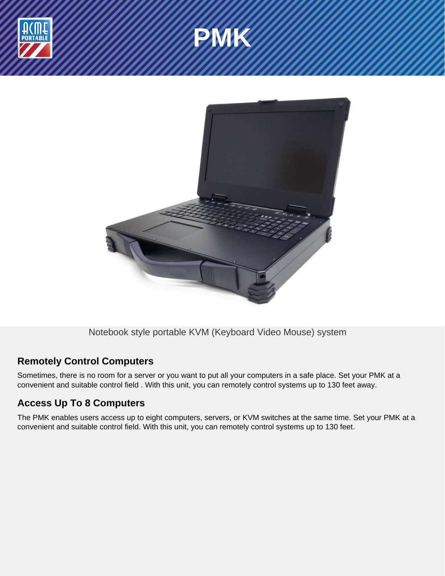





Notebook style portable KVM (Keyboard Video Mouse) system

## **Remotely Control Computers**

Sometimes, there is no room for a server or you want to put all your computers in a safe place. Set your PMK at a convenient and suitable control field . With this unit, you can remotely control systems up to 130 feet away.

# **Access Up To 8 Computers**

The PMK enables users access up to eight computers, servers, or KVM switches at the same time. Set your PMK at a convenient and suitable control field. With this unit, you can remotely control systems up to 130 feet.